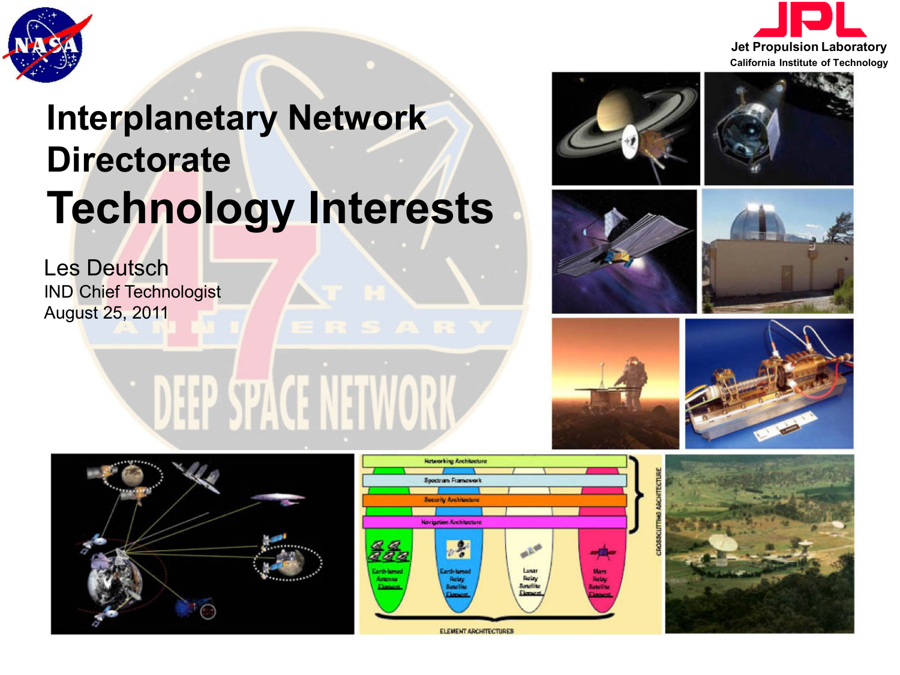



# **Interplanetary Network Directorate Technology Interests**

EEP SPACE NETWO

Les Deutsch IND Chief Technologist August 25, 2011

















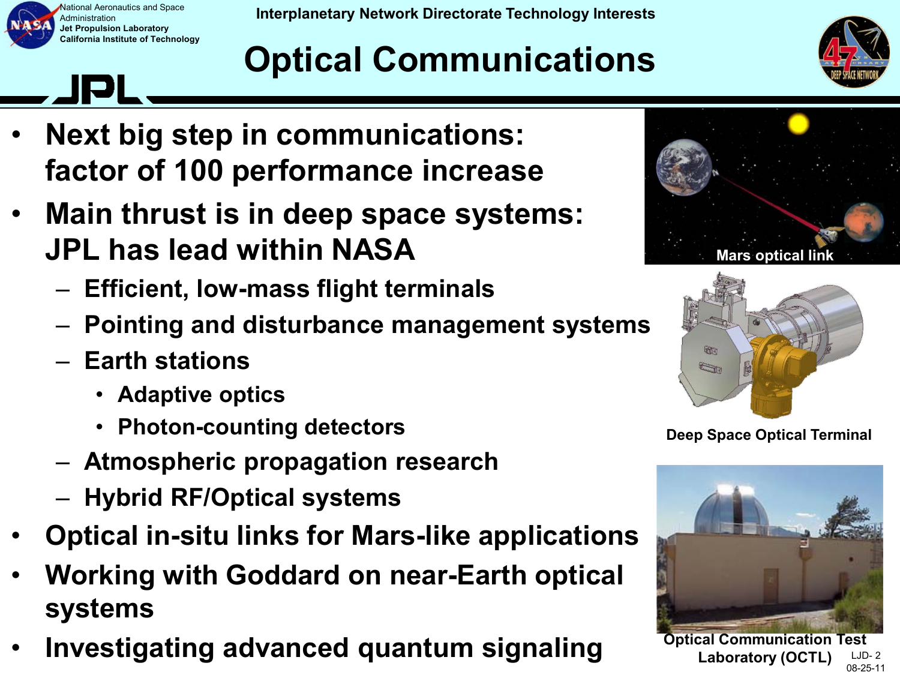

**Interplanetary Network Directorate Technology Interests Interplanetary Network Directorate Technology Interests** 

## **Optical Communications**



- **Next big step in communications: factor of 100 performance increase**
- **Main thrust is in deep space systems: JPL has lead within NASA**
	- **Efficient, low-mass flight terminals**
	- **Pointing and disturbance management systems**
	- **Earth stations**
		- **Adaptive optics**
		- **Photon-counting detectors**
	- **Atmospheric propagation research**
	- **Hybrid RF/Optical systems**
- **Optical in-situ links for Mars-like applications**
- **Working with Goddard on near-Earth optical systems**
- **Investigating advanced quantum signaling**





**Deep Space Optical Terminal**



LJD- 2 08-25-11 **Optical Communication Test Laboratory (OCTL)**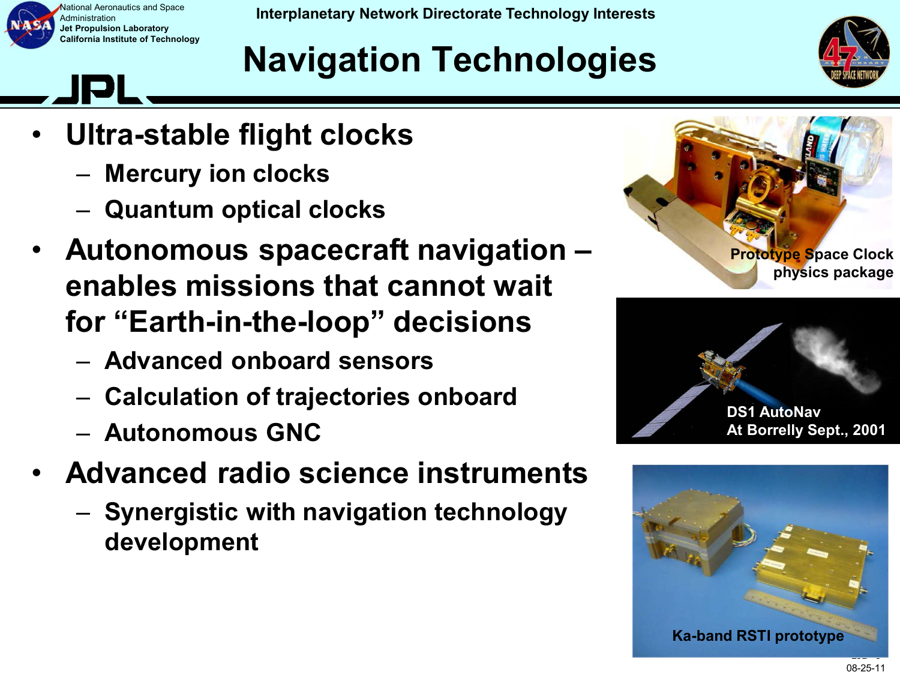

Administration **Jet Propulsion Laboratory California Institute of Technology**

Iational Aeronautics and Space **Interplanetary Network Directorate Technology Interests** 

### **Navigation Technologies**



- **Ultra-stable flight clocks**
	- **Mercury ion clocks**
	- **Quantum optical clocks**
- **Autonomous spacecraft navigation enables missions that cannot wait for "Earth-in-the-loop" decisions**
	- **Advanced onboard sensors**
	- **Calculation of trajectories onboard**
	- **Autonomous GNC**
- **Advanced radio science instruments**
	- **Synergistic with navigation technology development**





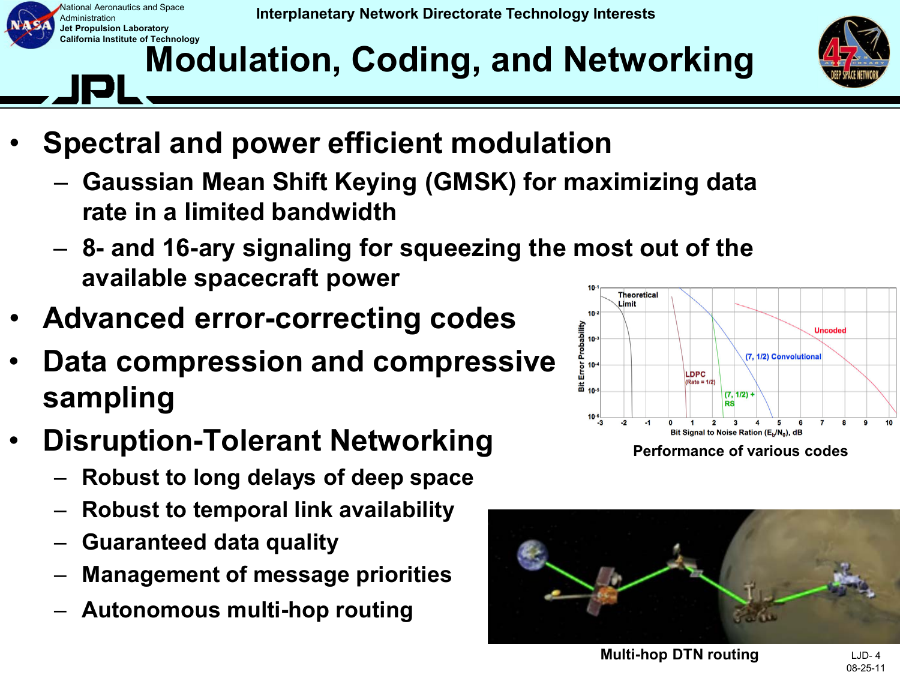

#### **California Institute of Technology Modulation, Coding, and Networking**



- **Spectral and power efficient modulation**
	- **Gaussian Mean Shift Keying (GMSK) for maximizing data rate in a limited bandwidth**
	- **8- and 16-ary signaling for squeezing the most out of the available spacecraft power**
- **Advanced error-correcting codes**
- **Data compression and compressive sampling**
- **Disruption-Tolerant Networking**
	- **Robust to long delays of deep space**
	- **Robust to temporal link availability**
	- **Guaranteed data quality**
	- **Management of message priorities**
	- **Autonomous multi-hop routing**





**Multi-hop DTN routing**